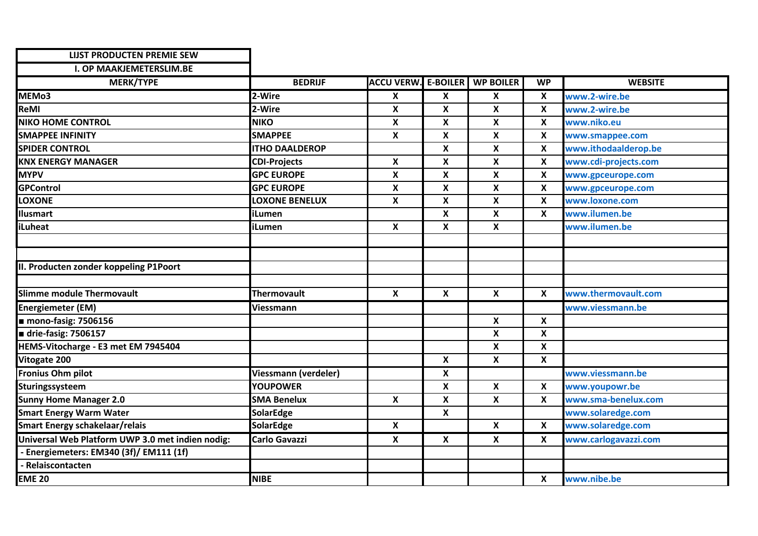| <b>LIJST PRODUCTEN PREMIE SEW</b>                |                       |                            |                           |                           |                           |                      |
|--------------------------------------------------|-----------------------|----------------------------|---------------------------|---------------------------|---------------------------|----------------------|
| <b>I. OP MAAKJEMETERSLIM.BE</b>                  |                       |                            |                           |                           |                           |                      |
| <b>MERK/TYPE</b>                                 | <b>BEDRIJF</b>        | <b>ACCU VERW. E-BOILER</b> |                           | <b>WP BOILER</b>          | <b>WP</b>                 | <b>WEBSITE</b>       |
| MEM <sub>03</sub>                                | 2-Wire                | X                          | $\boldsymbol{\mathsf{X}}$ | X                         | $\boldsymbol{\mathsf{x}}$ | www.2-wire.be        |
| <b>ReMI</b>                                      | 2-Wire                | X                          | X                         | X                         | $\pmb{\mathsf{X}}$        | www.2-wire.be        |
| <b>NIKO HOME CONTROL</b>                         | <b>NIKO</b>           | X                          | X                         | Χ                         | X                         | www.niko.eu          |
| <b>SMAPPEE INFINITY</b>                          | <b>SMAPPEE</b>        | X                          | X                         | $\pmb{\mathsf{X}}$        | X                         | www.smappee.com      |
| <b>SPIDER CONTROL</b>                            | <b>ITHO DAALDEROP</b> |                            | $\boldsymbol{x}$          | $\pmb{\mathsf{X}}$        | X                         | www.ithodaalderop.be |
| <b>KNX ENERGY MANAGER</b>                        | <b>CDI-Projects</b>   | X                          | X                         | X                         | $\boldsymbol{\mathsf{x}}$ | www.cdi-projects.com |
| <b>MYPV</b>                                      | <b>GPC EUROPE</b>     | X                          | $\boldsymbol{\mathsf{x}}$ | $\pmb{\mathsf{X}}$        | $\pmb{\mathsf{X}}$        | www.gpceurope.com    |
| <b>GPControl</b>                                 | <b>GPC EUROPE</b>     | X                          | X                         | Χ                         | $\boldsymbol{\mathsf{X}}$ | www.gpceurope.com    |
| <b>LOXONE</b>                                    | <b>LOXONE BENELUX</b> | X                          | $\boldsymbol{x}$          | X                         | $\boldsymbol{\mathsf{X}}$ | www.loxone.com       |
| Ilusmart                                         | iLumen                |                            | X                         | X                         | $\pmb{\mathsf{X}}$        | www.ilumen.be        |
| iLuheat                                          | iLumen                | X                          | $\pmb{\mathsf{X}}$        | $\boldsymbol{\mathsf{x}}$ |                           | www.ilumen.be        |
|                                                  |                       |                            |                           |                           |                           |                      |
|                                                  |                       |                            |                           |                           |                           |                      |
| II. Producten zonder koppeling P1Poort           |                       |                            |                           |                           |                           |                      |
|                                                  |                       |                            |                           |                           |                           |                      |
| <b>Slimme module Thermovault</b>                 | <b>Thermovault</b>    | $\mathbf{x}$               | $\mathsf{x}$              | $\mathbf{x}$              | X                         | www.thermovault.com  |
| <b>Energiemeter (EM)</b>                         | Viessmann             |                            |                           |                           |                           | www.viessmann.be     |
| $\blacksquare$ mono-fasig: 7506156               |                       |                            |                           | X                         | $\boldsymbol{\mathsf{X}}$ |                      |
| drie-fasig: 7506157                              |                       |                            |                           | X                         | $\pmb{\mathsf{X}}$        |                      |
| HEMS-Vitocharge - E3 met EM 7945404              |                       |                            |                           | X                         | $\boldsymbol{\mathsf{X}}$ |                      |
| Vitogate 200                                     |                       |                            | X                         | $\boldsymbol{\mathsf{x}}$ | $\boldsymbol{\mathsf{X}}$ |                      |
| Fronius Ohm pilot                                | Viessmann (verdeler)  |                            | $\boldsymbol{\mathsf{X}}$ |                           |                           | www.viessmann.be     |
| Sturingssysteem                                  | <b>YOUPOWER</b>       |                            | $\boldsymbol{\mathsf{x}}$ | X                         | $\boldsymbol{\mathsf{x}}$ | www.youpowr.be       |
| <b>Sunny Home Manager 2.0</b>                    | <b>SMA Benelux</b>    | X                          | X                         | $\boldsymbol{\mathsf{x}}$ | X                         | www.sma-benelux.com  |
| <b>Smart Energy Warm Water</b>                   | SolarEdge             |                            | X                         |                           |                           | www.solaredge.com    |
| <b>Smart Energy schakelaar/relais</b>            | <b>SolarEdge</b>      | X                          |                           | $\boldsymbol{\mathsf{x}}$ | X                         | www.solaredge.com    |
| Universal Web Platform UWP 3.0 met indien nodig: | <b>Carlo Gavazzi</b>  | X                          | X                         | X                         | X                         | www.carlogavazzi.com |
| - Energiemeters: EM340 (3f)/ EM111 (1f)          |                       |                            |                           |                           |                           |                      |
| - Relaiscontacten                                |                       |                            |                           |                           |                           |                      |
| <b>EME 20</b>                                    | <b>NIBE</b>           |                            |                           |                           | X                         | www.nibe.be          |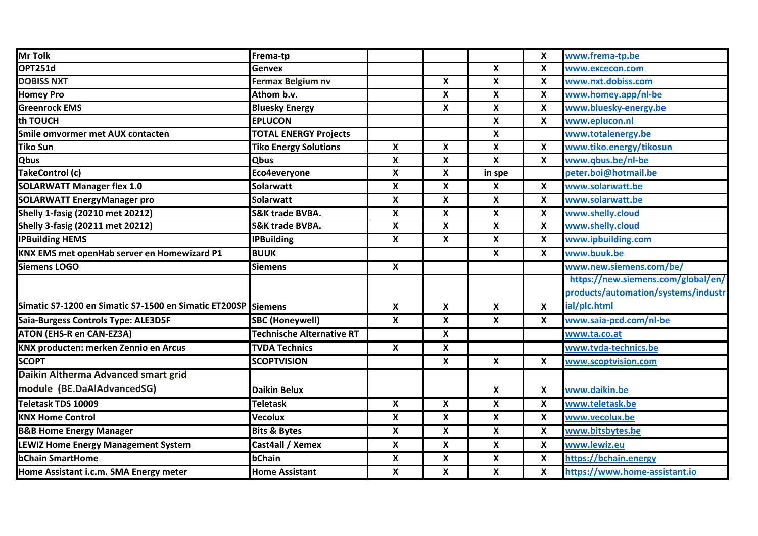| <b>Mr Tolk</b>                                        | Frema-tp                         |                           |                           |                           | $\pmb{\times}$            | www.frema-tp.be                     |
|-------------------------------------------------------|----------------------------------|---------------------------|---------------------------|---------------------------|---------------------------|-------------------------------------|
| OPT251d                                               | <b>Genvex</b>                    |                           |                           | $\boldsymbol{x}$          | $\boldsymbol{\mathsf{x}}$ | www.excecon.com                     |
| <b>DOBISS NXT</b>                                     | <b>Fermax Belgium nv</b>         |                           | $\boldsymbol{\mathsf{X}}$ | $\pmb{\mathsf{X}}$        | $\boldsymbol{\mathsf{x}}$ | www.nxt.dobiss.com                  |
| <b>Homey Pro</b>                                      | Athom b.v.                       |                           | $\boldsymbol{\mathsf{x}}$ | $\pmb{\mathsf{X}}$        | $\boldsymbol{\mathsf{x}}$ | www.homey.app/nl-be                 |
| <b>Greenrock EMS</b>                                  | <b>Bluesky Energy</b>            |                           | X                         | $\pmb{\mathsf{X}}$        | $\boldsymbol{\mathsf{x}}$ | www.bluesky-energy.be               |
| th TOUCH                                              | <b>EPLUCON</b>                   |                           |                           | $\pmb{\mathsf{X}}$        | $\boldsymbol{\mathsf{x}}$ | www.eplucon.nl                      |
| Smile omvormer met AUX contacten                      | <b>TOTAL ENERGY Projects</b>     |                           |                           | $\boldsymbol{\mathsf{x}}$ |                           | www.totalenergy.be                  |
| <b>Tiko Sun</b>                                       | <b>Tiko Energy Solutions</b>     | X                         | X                         | $\pmb{\mathsf{X}}$        | $\boldsymbol{\mathsf{x}}$ | www.tiko.energy/tikosun             |
| <b>Qbus</b>                                           | <b>Qbus</b>                      | X                         | X                         | X                         | X                         | www.qbus.be/nl-be                   |
| TakeControl (c)                                       | Eco4everyone                     | X                         | $\mathbf{x}$              | in spe                    |                           | peter.boi@hotmail.be                |
| <b>SOLARWATT Manager flex 1.0</b>                     | <b>Solarwatt</b>                 | X                         | X                         | X                         | $\boldsymbol{\mathsf{X}}$ | www.solarwatt.be                    |
| <b>SOLARWATT EnergyManager pro</b>                    | <b>Solarwatt</b>                 | X                         | $\boldsymbol{\mathsf{x}}$ | $\pmb{\mathsf{X}}$        | $\pmb{\mathsf{X}}$        | www.solarwatt.be                    |
| <b>Shelly 1-fasig (20210 met 20212)</b>               | <b>S&amp;K trade BVBA.</b>       | X                         | X                         | $\boldsymbol{\mathsf{x}}$ | X                         | www.shelly.cloud                    |
| <b>Shelly 3-fasig (20211 met 20212)</b>               | <b>S&amp;K trade BVBA.</b>       | X                         | $\boldsymbol{\mathsf{x}}$ | $\boldsymbol{\mathsf{X}}$ | $\boldsymbol{\mathsf{x}}$ | www.shelly.cloud                    |
| <b>IPBuilding HEMS</b>                                | <b>IPBuilding</b>                | X                         | X                         | X                         | $\boldsymbol{\mathsf{x}}$ | www.ipbuilding.com                  |
| KNX EMS met openHab server en Homewizard P1           | <b>BUUK</b>                      |                           |                           | $\boldsymbol{\mathsf{X}}$ | $\boldsymbol{\mathsf{x}}$ | www.buuk.be                         |
| <b>Siemens LOGO</b>                                   | <b>Siemens</b>                   | $\boldsymbol{\mathsf{X}}$ |                           |                           |                           | www.new.siemens.com/be/             |
|                                                       |                                  |                           |                           |                           |                           | https://new.siemens.com/global/en/  |
|                                                       |                                  |                           |                           |                           |                           | products/automation/systems/industr |
| Simatic S7-1200 en Simatic S7-1500 en Simatic ET200SP | <b>Siemens</b>                   | X                         | $\boldsymbol{\mathsf{x}}$ | $\pmb{\mathsf{X}}$        | $\boldsymbol{\mathsf{X}}$ | ial/plc.html                        |
| Saia-Burgess Controls Type: ALE3D5F                   | <b>SBC (Honeywell)</b>           | X                         | X                         | $\boldsymbol{\mathsf{x}}$ | $\boldsymbol{\mathsf{x}}$ | www.saia-pcd.com/nl-be              |
| <b>ATON (EHS-R en CAN-EZ3A)</b>                       | <b>Technische Alternative RT</b> |                           | X                         |                           |                           | www.ta.co.at                        |
| KNX producten: merken Zennio en Arcus                 | <b>TVDA Technics</b>             | $\boldsymbol{\mathsf{X}}$ | X                         |                           |                           | www.tvda-technics.be                |
| <b>SCOPT</b>                                          | <b>SCOPTVISION</b>               |                           | X                         | X                         | X                         | www.scoptvision.com                 |
| Daikin Altherma Advanced smart grid                   |                                  |                           |                           |                           |                           |                                     |
| module (BE.DaAlAdvancedSG)                            | <b>Daikin Belux</b>              |                           |                           | X                         | $\boldsymbol{\mathsf{x}}$ | www.daikin.be                       |
| <b>Teletask TDS 10009</b>                             | <b>Teletask</b>                  | X                         | X                         | $\pmb{\mathsf{X}}$        | $\pmb{\mathsf{X}}$        | www.teletask.be                     |
| <b>KNX Home Control</b>                               | <b>Vecolux</b>                   | $\boldsymbol{\mathsf{x}}$ | X                         | X                         | $\boldsymbol{\mathsf{x}}$ | www.vecolux.be                      |
| <b>B&amp;B Home Energy Manager</b>                    | <b>Bits &amp; Bytes</b>          | X                         | X                         | X                         | X                         | www.bitsbytes.be                    |
| <b>LEWIZ Home Energy Management System</b>            | Cast4all / Xemex                 | $\mathsf{x}$              | $\mathbf x$               | $\pmb{\mathsf{X}}$        | $\pmb{\mathsf{X}}$        | www.lewiz.eu                        |
| <b>bChain SmartHome</b>                               | bChain                           | X                         | X                         | X                         | X                         | https://bchain.energy               |
|                                                       |                                  |                           |                           |                           |                           |                                     |